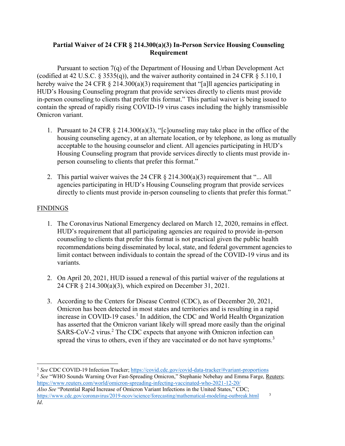## **Partial Waiver of 24 CFR § 214.300(a)(3) In-Person Service Housing Counseling Requirement**

Pursuant to section 7(q) of the Department of Housing and Urban Development Act (codified at 42 U.S.C.  $\S 3535(q)$ ), and the waiver authority contained in 24 CFR  $\S 5.110$ , I hereby waive the 24 CFR  $\S$  214.300(a)(3) requirement that "[a]ll agencies participating in HUD's Housing Counseling program that provide services directly to clients must provide in-person counseling to clients that prefer this format." This partial waiver is being issued to contain the spread of rapidly rising COVID-19 virus cases including the highly transmissible Omicron variant.

- 1. Pursuant to 24 CFR § 214.300(a)(3), "[c]ounseling may take place in the office of the housing counseling agency, at an alternate location, or by telephone, as long as mutually acceptable to the housing counselor and client. All agencies participating in HUD's Housing Counseling program that provide services directly to clients must provide inperson counseling to clients that prefer this format."
- 2. This partial waiver waives the 24 CFR  $\S$  214.300(a)(3) requirement that "... All agencies participating in HUD's Housing Counseling program that provide services directly to clients must provide in-person counseling to clients that prefer this format."

## **FINDINGS**

- 1. The Coronavirus National Emergency declared on March 12, 2020, remains in effect. HUD's requirement that all participating agencies are required to provide in-person counseling to clients that prefer this format is not practical given the public health recommendations being disseminated by local, state, and federal government agencies to limit contact between individuals to contain the spread of the COVID-19 virus and its variants.
- 2. On April 20, 2021, HUD issued a renewal of this partial waiver of the regulations at 24 CFR § 214.300(a)(3), which expired on December 31, 2021.
- 3. According to the Centers for Disease Control (CDC), as of December 20, 2021, Omicron has been detected in most states and territories and is resulting in a rapid increase in COVID-19 cases.<sup>1</sup> In addition, the CDC and World Health Organization has asserted that the Omicron variant likely will spread more easily than the original SARS-CoV-2 virus.<sup>2</sup> The CDC expects that anyone with Omicron infection can spread the virus to others, even if they are vaccinated or do not have symptoms.<sup>3</sup>

<sup>2</sup> *See* "WHO Sounds Warning Over Fast-Spreading Omicron," Stephanie Nebehay and Emma Farge, Reuters; <https://www.reuters.com/world/omicron-spreading-infecting-vaccinated-who-2021-12-20/> *Also See* "Potential Rapid Increase of Omicron Variant Infections in the United States," CDC; <https://www.cdc.gov/coronavirus/2019-ncov/science/forecasting/mathematical-modeling-outbreak.html> <sup>3</sup> *Id*.

<sup>&</sup>lt;sup>1</sup> See CDC COVID-19 Infection Tracker; <https://covid.cdc.gov/covid-data-tracker/#variant-proportions>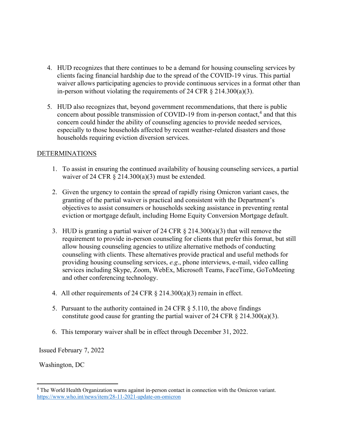- 4. HUD recognizes that there continues to be a demand for housing counseling services by clients facing financial hardship due to the spread of the COVID-19 virus. This partial waiver allows participating agencies to provide continuous services in a format other than in-person without violating the requirements of 24 CFR  $\S$  214.300(a)(3).
- 5. HUD also recognizes that, beyond government recommendations, that there is public concern about possible transmission of COVID-19 from in-person contact,<sup>4</sup> and that this concern could hinder the ability of counseling agencies to provide needed services, especially to those households affected by recent weather-related disasters and those households requiring eviction diversion services.

## DETERMINATIONS

- 1. To assist in ensuring the continued availability of housing counseling services, a partial waiver of 24 CFR  $\S$  214.300(a)(3) must be extended.
- 2. Given the urgency to contain the spread of rapidly rising Omicron variant cases, the granting of the partial waiver is practical and consistent with the Department's objectives to assist consumers or households seeking assistance in preventing rental eviction or mortgage default, including Home Equity Conversion Mortgage default.
- 3. HUD is granting a partial waiver of 24 CFR § 214.300(a)(3) that will remove the requirement to provide in-person counseling for clients that prefer this format, but still allow housing counseling agencies to utilize alternative methods of conducting counseling with clients. These alternatives provide practical and useful methods for providing housing counseling services, *e.g*., phone interviews, e-mail, video calling services including Skype, Zoom, WebEx, Microsoft Teams, FaceTime, GoToMeeting and other conferencing technology.
- 4. All other requirements of 24 CFR § 214.300(a)(3) remain in effect.
- 5. Pursuant to the authority contained in 24 CFR § 5.110, the above findings constitute good cause for granting the partial waiver of 24 CFR  $\S$  214.300(a)(3).
- 6. This temporary waiver shall be in effect through December 31, 2022.

Issued February 7, 2022

Washington, DC

<sup>4</sup> The World Health Organization warns against in-person contact in connection with the Omicron variant. <https://www.who.int/news/item/28-11-2021-update-on-omicron>